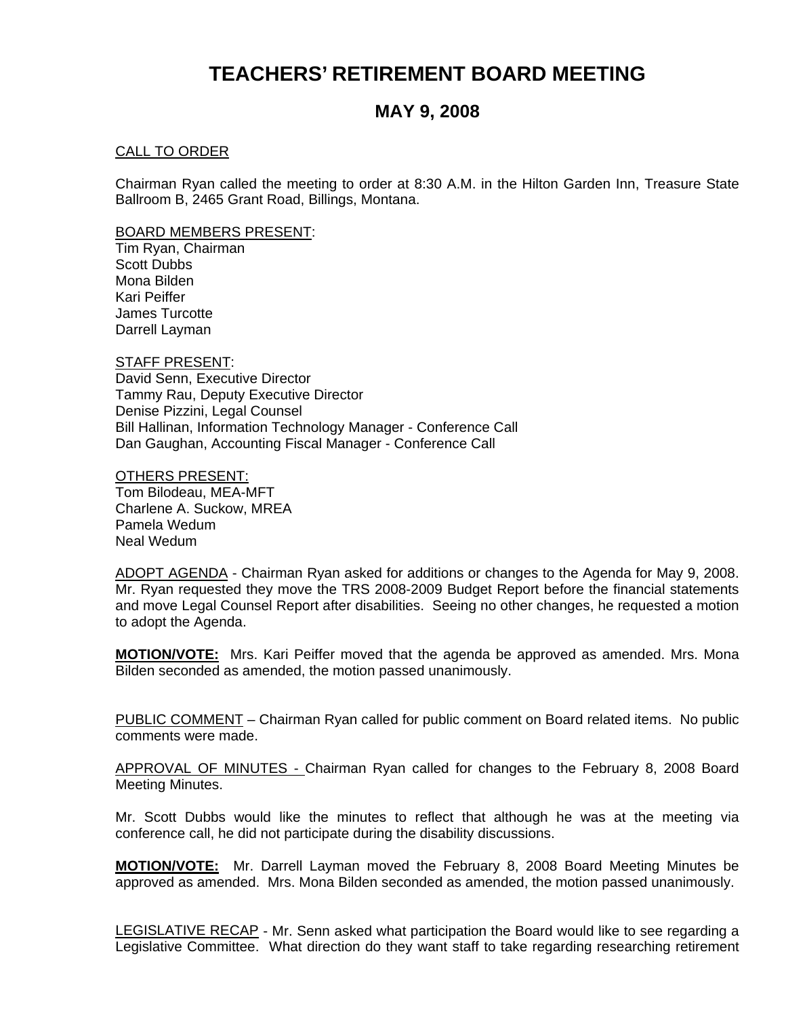# **TEACHERS' RETIREMENT BOARD MEETING**

# **MAY 9, 2008**

#### CALL TO ORDER

Chairman Ryan called the meeting to order at 8:30 A.M. in the Hilton Garden Inn, Treasure State Ballroom B, 2465 Grant Road, Billings, Montana.

#### BOARD MEMBERS PRESENT:

Tim Ryan, Chairman Scott Dubbs Mona Bilden Kari Peiffer James Turcotte Darrell Layman

STAFF PRESENT: David Senn, Executive Director Tammy Rau, Deputy Executive Director Denise Pizzini, Legal Counsel Bill Hallinan, Information Technology Manager - Conference Call Dan Gaughan, Accounting Fiscal Manager - Conference Call

OTHERS PRESENT: Tom Bilodeau, MEA-MFT Charlene A. Suckow, MREA Pamela Wedum Neal Wedum

ADOPT AGENDA - Chairman Ryan asked for additions or changes to the Agenda for May 9, 2008. Mr. Ryan requested they move the TRS 2008-2009 Budget Report before the financial statements and move Legal Counsel Report after disabilities. Seeing no other changes, he requested a motion to adopt the Agenda.

**MOTION/VOTE:** Mrs. Kari Peiffer moved that the agenda be approved as amended. Mrs. Mona Bilden seconded as amended, the motion passed unanimously.

PUBLIC COMMENT - Chairman Ryan called for public comment on Board related items. No public comments were made.

APPROVAL OF MINUTES - Chairman Ryan called for changes to the February 8, 2008 Board Meeting Minutes.

Mr. Scott Dubbs would like the minutes to reflect that although he was at the meeting via conference call, he did not participate during the disability discussions.

**MOTION/VOTE:** Mr. Darrell Layman moved the February 8, 2008 Board Meeting Minutes be approved as amended. Mrs. Mona Bilden seconded as amended, the motion passed unanimously.

LEGISLATIVE RECAP - Mr. Senn asked what participation the Board would like to see regarding a Legislative Committee. What direction do they want staff to take regarding researching retirement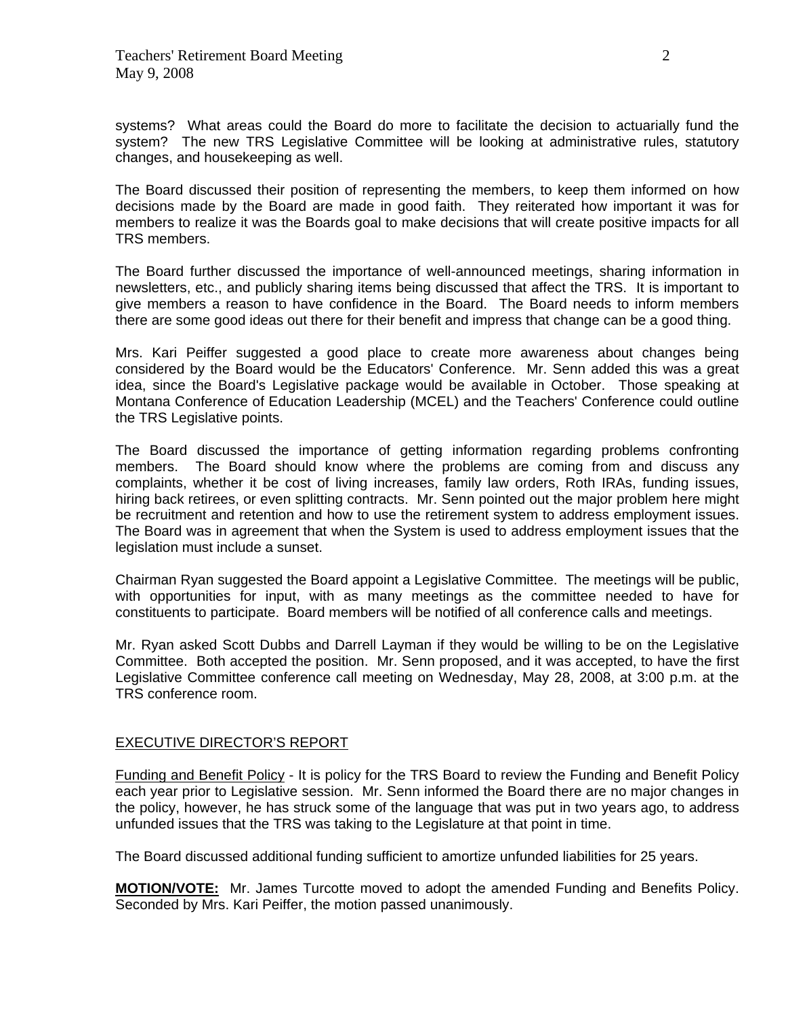systems? What areas could the Board do more to facilitate the decision to actuarially fund the system? The new TRS Legislative Committee will be looking at administrative rules, statutory changes, and housekeeping as well.

The Board discussed their position of representing the members, to keep them informed on how decisions made by the Board are made in good faith. They reiterated how important it was for members to realize it was the Boards goal to make decisions that will create positive impacts for all TRS members.

The Board further discussed the importance of well-announced meetings, sharing information in newsletters, etc., and publicly sharing items being discussed that affect the TRS. It is important to give members a reason to have confidence in the Board. The Board needs to inform members there are some good ideas out there for their benefit and impress that change can be a good thing.

Mrs. Kari Peiffer suggested a good place to create more awareness about changes being considered by the Board would be the Educators' Conference. Mr. Senn added this was a great idea, since the Board's Legislative package would be available in October. Those speaking at Montana Conference of Education Leadership (MCEL) and the Teachers' Conference could outline the TRS Legislative points.

The Board discussed the importance of getting information regarding problems confronting members. The Board should know where the problems are coming from and discuss any complaints, whether it be cost of living increases, family law orders, Roth IRAs, funding issues, hiring back retirees, or even splitting contracts. Mr. Senn pointed out the major problem here might be recruitment and retention and how to use the retirement system to address employment issues. The Board was in agreement that when the System is used to address employment issues that the legislation must include a sunset.

Chairman Ryan suggested the Board appoint a Legislative Committee. The meetings will be public, with opportunities for input, with as many meetings as the committee needed to have for constituents to participate. Board members will be notified of all conference calls and meetings.

Mr. Ryan asked Scott Dubbs and Darrell Layman if they would be willing to be on the Legislative Committee. Both accepted the position. Mr. Senn proposed, and it was accepted, to have the first Legislative Committee conference call meeting on Wednesday, May 28, 2008, at 3:00 p.m. at the TRS conference room.

### EXECUTIVE DIRECTOR'S REPORT

Funding and Benefit Policy - It is policy for the TRS Board to review the Funding and Benefit Policy each year prior to Legislative session. Mr. Senn informed the Board there are no major changes in the policy, however, he has struck some of the language that was put in two years ago, to address unfunded issues that the TRS was taking to the Legislature at that point in time.

The Board discussed additional funding sufficient to amortize unfunded liabilities for 25 years.

**MOTION/VOTE:** Mr. James Turcotte moved to adopt the amended Funding and Benefits Policy. Seconded by Mrs. Kari Peiffer, the motion passed unanimously.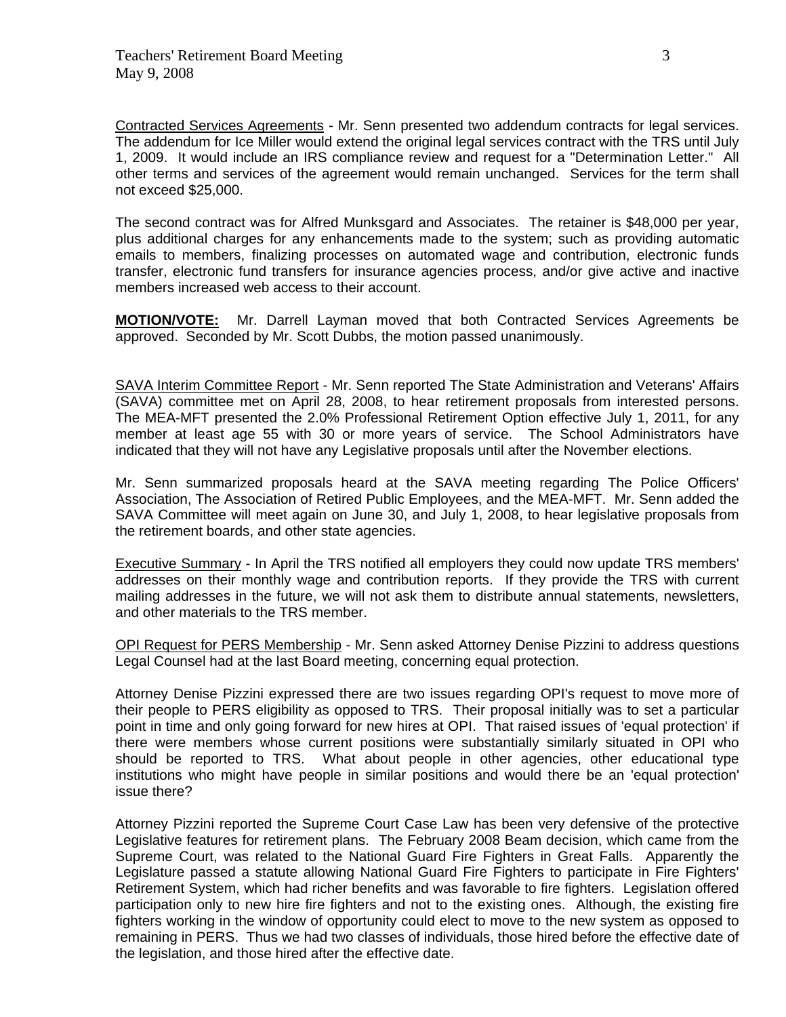Contracted Services Agreements - Mr. Senn presented two addendum contracts for legal services. The addendum for Ice Miller would extend the original legal services contract with the TRS until July 1, 2009. It would include an IRS compliance review and request for a "Determination Letter." All other terms and services of the agreement would remain unchanged. Services for the term shall not exceed \$25,000.

The second contract was for Alfred Munksgard and Associates. The retainer is \$48,000 per year, plus additional charges for any enhancements made to the system; such as providing automatic emails to members, finalizing processes on automated wage and contribution, electronic funds transfer, electronic fund transfers for insurance agencies process, and/or give active and inactive members increased web access to their account.

**MOTION/VOTE:** Mr. Darrell Layman moved that both Contracted Services Agreements be approved. Seconded by Mr. Scott Dubbs, the motion passed unanimously.

SAVA Interim Committee Report - Mr. Senn reported The State Administration and Veterans' Affairs (SAVA) committee met on April 28, 2008, to hear retirement proposals from interested persons. The MEA-MFT presented the 2.0% Professional Retirement Option effective July 1, 2011, for any member at least age 55 with 30 or more years of service. The School Administrators have indicated that they will not have any Legislative proposals until after the November elections.

Mr. Senn summarized proposals heard at the SAVA meeting regarding The Police Officers' Association, The Association of Retired Public Employees, and the MEA-MFT. Mr. Senn added the SAVA Committee will meet again on June 30, and July 1, 2008, to hear legislative proposals from the retirement boards, and other state agencies.

Executive Summary - In April the TRS notified all employers they could now update TRS members' addresses on their monthly wage and contribution reports. If they provide the TRS with current mailing addresses in the future, we will not ask them to distribute annual statements, newsletters, and other materials to the TRS member.

OPI Request for PERS Membership - Mr. Senn asked Attorney Denise Pizzini to address questions Legal Counsel had at the last Board meeting, concerning equal protection.

Attorney Denise Pizzini expressed there are two issues regarding OPI's request to move more of their people to PERS eligibility as opposed to TRS. Their proposal initially was to set a particular point in time and only going forward for new hires at OPI. That raised issues of 'equal protection' if there were members whose current positions were substantially similarly situated in OPI who should be reported to TRS. What about people in other agencies, other educational type institutions who might have people in similar positions and would there be an 'equal protection' issue there?

Attorney Pizzini reported the Supreme Court Case Law has been very defensive of the protective Legislative features for retirement plans. The February 2008 Beam decision, which came from the Supreme Court, was related to the National Guard Fire Fighters in Great Falls. Apparently the Legislature passed a statute allowing National Guard Fire Fighters to participate in Fire Fighters' Retirement System, which had richer benefits and was favorable to fire fighters. Legislation offered participation only to new hire fire fighters and not to the existing ones. Although, the existing fire fighters working in the window of opportunity could elect to move to the new system as opposed to remaining in PERS. Thus we had two classes of individuals, those hired before the effective date of the legislation, and those hired after the effective date.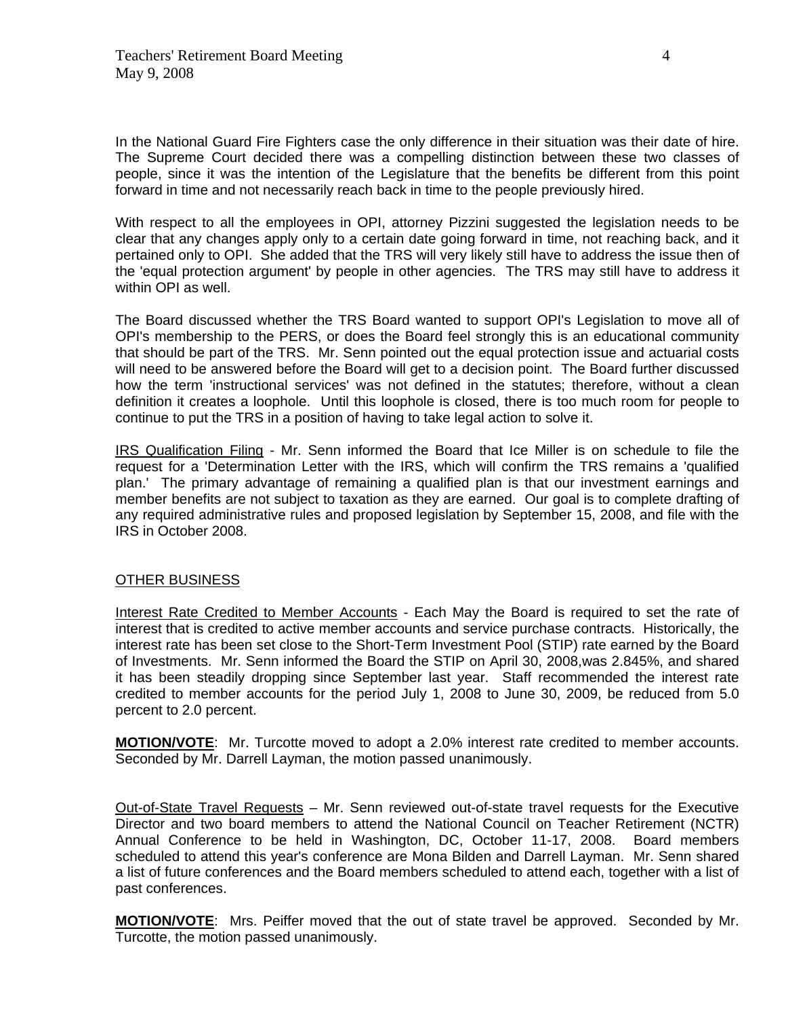In the National Guard Fire Fighters case the only difference in their situation was their date of hire. The Supreme Court decided there was a compelling distinction between these two classes of people, since it was the intention of the Legislature that the benefits be different from this point forward in time and not necessarily reach back in time to the people previously hired.

With respect to all the employees in OPI, attorney Pizzini suggested the legislation needs to be clear that any changes apply only to a certain date going forward in time, not reaching back, and it pertained only to OPI. She added that the TRS will very likely still have to address the issue then of the 'equal protection argument' by people in other agencies. The TRS may still have to address it within OPI as well.

The Board discussed whether the TRS Board wanted to support OPI's Legislation to move all of OPI's membership to the PERS, or does the Board feel strongly this is an educational community that should be part of the TRS. Mr. Senn pointed out the equal protection issue and actuarial costs will need to be answered before the Board will get to a decision point. The Board further discussed how the term 'instructional services' was not defined in the statutes; therefore, without a clean definition it creates a loophole. Until this loophole is closed, there is too much room for people to continue to put the TRS in a position of having to take legal action to solve it.

IRS Qualification Filing - Mr. Senn informed the Board that Ice Miller is on schedule to file the request for a 'Determination Letter with the IRS, which will confirm the TRS remains a 'qualified plan.' The primary advantage of remaining a qualified plan is that our investment earnings and member benefits are not subject to taxation as they are earned. Our goal is to complete drafting of any required administrative rules and proposed legislation by September 15, 2008, and file with the IRS in October 2008.

### OTHER BUSINESS

Interest Rate Credited to Member Accounts - Each May the Board is required to set the rate of interest that is credited to active member accounts and service purchase contracts. Historically, the interest rate has been set close to the Short-Term Investment Pool (STIP) rate earned by the Board of Investments. Mr. Senn informed the Board the STIP on April 30, 2008,was 2.845%, and shared it has been steadily dropping since September last year. Staff recommended the interest rate credited to member accounts for the period July 1, 2008 to June 30, 2009, be reduced from 5.0 percent to 2.0 percent.

**MOTION/VOTE**: Mr. Turcotte moved to adopt a 2.0% interest rate credited to member accounts. Seconded by Mr. Darrell Layman, the motion passed unanimously.

Out-of-State Travel Requests – Mr. Senn reviewed out-of-state travel requests for the Executive Director and two board members to attend the National Council on Teacher Retirement (NCTR) Annual Conference to be held in Washington, DC, October 11-17, 2008. Board members scheduled to attend this year's conference are Mona Bilden and Darrell Layman. Mr. Senn shared a list of future conferences and the Board members scheduled to attend each, together with a list of past conferences.

**MOTION/VOTE**: Mrs. Peiffer moved that the out of state travel be approved. Seconded by Mr. Turcotte, the motion passed unanimously.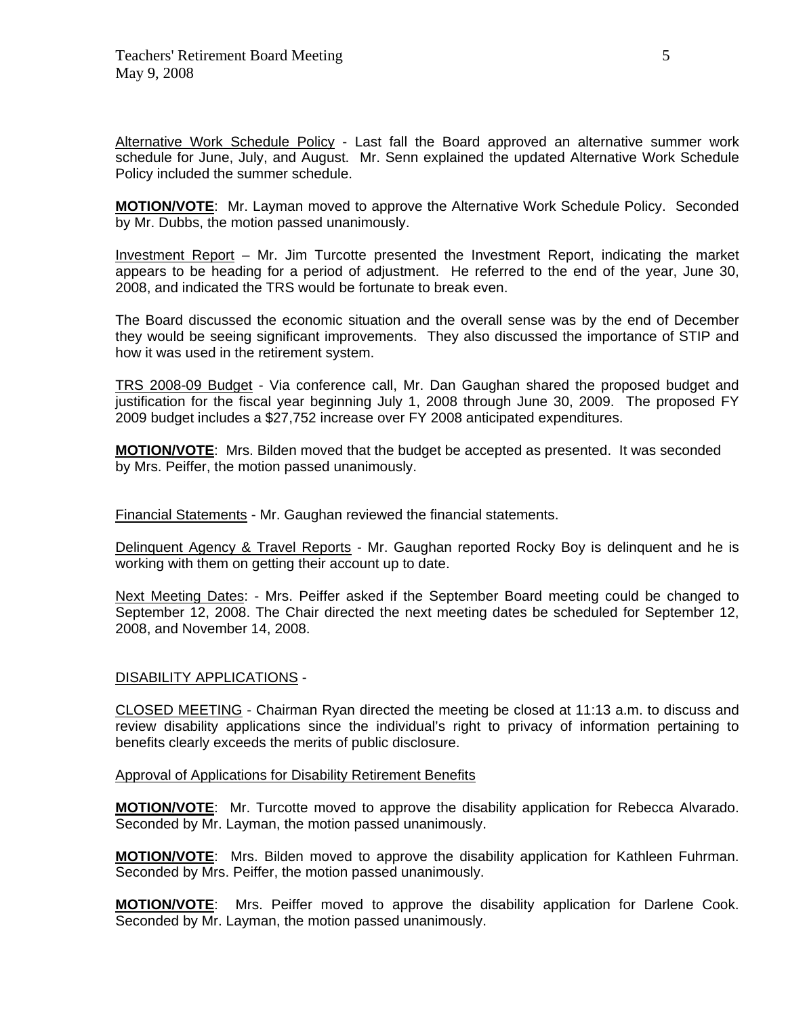Alternative Work Schedule Policy - Last fall the Board approved an alternative summer work schedule for June, July, and August. Mr. Senn explained the updated Alternative Work Schedule Policy included the summer schedule.

**MOTION/VOTE**: Mr. Layman moved to approve the Alternative Work Schedule Policy. Seconded by Mr. Dubbs, the motion passed unanimously.

Investment Report – Mr. Jim Turcotte presented the Investment Report, indicating the market appears to be heading for a period of adjustment. He referred to the end of the year, June 30, 2008, and indicated the TRS would be fortunate to break even.

The Board discussed the economic situation and the overall sense was by the end of December they would be seeing significant improvements. They also discussed the importance of STIP and how it was used in the retirement system.

TRS 2008-09 Budget - Via conference call, Mr. Dan Gaughan shared the proposed budget and justification for the fiscal year beginning July 1, 2008 through June 30, 2009. The proposed FY 2009 budget includes a \$27,752 increase over FY 2008 anticipated expenditures.

**MOTION/VOTE**: Mrs. Bilden moved that the budget be accepted as presented. It was seconded by Mrs. Peiffer, the motion passed unanimously.

Financial Statements - Mr. Gaughan reviewed the financial statements.

Delinquent Agency & Travel Reports - Mr. Gaughan reported Rocky Boy is delinquent and he is working with them on getting their account up to date.

Next Meeting Dates: - Mrs. Peiffer asked if the September Board meeting could be changed to September 12, 2008. The Chair directed the next meeting dates be scheduled for September 12, 2008, and November 14, 2008.

### DISABILITY APPLICATIONS -

CLOSED MEETING - Chairman Ryan directed the meeting be closed at 11:13 a.m. to discuss and review disability applications since the individual's right to privacy of information pertaining to benefits clearly exceeds the merits of public disclosure.

#### Approval of Applications for Disability Retirement Benefits

**MOTION/VOTE**: Mr. Turcotte moved to approve the disability application for Rebecca Alvarado. Seconded by Mr. Layman, the motion passed unanimously.

**MOTION/VOTE**: Mrs. Bilden moved to approve the disability application for Kathleen Fuhrman. Seconded by Mrs. Peiffer, the motion passed unanimously.

**MOTION/VOTE**: Mrs. Peiffer moved to approve the disability application for Darlene Cook. Seconded by Mr. Layman, the motion passed unanimously.